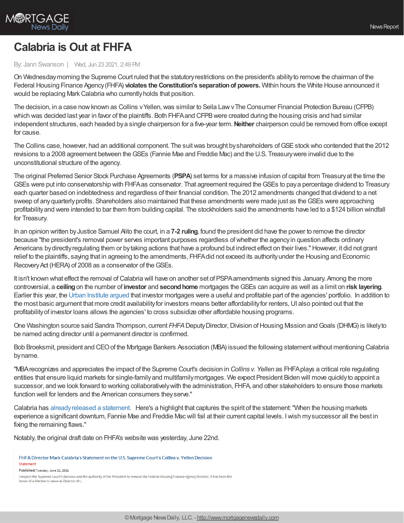

## **Calabria is Out at FHFA**

## By: Jann Swanson | Wed, Jun 23 2021, 2:49 PM

On Wednesdaymorning the Supreme Court ruled that the statutoryrestrictions on the president's abilityto remove the chairman of the Federal Housing Finance Agency (FHFA) **violates the Constitution's separation of powers.** Within hours the White House announced it would be replacing Mark Calabria who currently holds that position.

The decision, in a case now known as Collins v Yellen, was similar to Seila Law v The Consumer Financial Protection Bureau (CFPB) which was decided last year in favor of the plaintiffs. Both FHFA and CFPB were created during the housing crisis and had similar independent structures, each headed bya single chairperson for a five-year term.**Neither** chairperson could be removed from office except for cause.

The Collins case, however, had an additional component. The suitwas brought byshareholders ofGSEstockwho contended that the 2012 revisions to a 2008 agreement between theGSEs (Fannie Mae and Freddie Mac) and the U.S. Treasurywere invalid due to the unconstitutional structure of the agency.

The original Preferred Senior Stock Purchase Agreements (**PSPA**) set terms for a massive infusion of capital from Treasuryat the time the GSEs were put into conservatorship with FHFAas conservator. That agreement required theGSEs to paya percentage dividend to Treasury each quarter based on indebtedness and regardless of their financial condition. The 2012 amendments changed that dividend to a net sweep of any quarterly profits. Shareholders also maintained that these amendments were made just as the GSEs were approaching profitabilityand were intended to bar them from building capital. The stockholders said the amendments have led to a \$124 billion windfall for Treasury.

In an opinion written byJustice Samuel Alito the court, in a **7-2 ruling**, found the president did have the power to remove the director because "the president's removal power serves important purposes regardless ofwhether the agencyin question affects ordinary Americans by directly regulating them or by taking actions that have a profound but indirect effect on their lives." However, it did not grant relief to the plaintiffs, saying that in agreeing to the amendments, FHFAdid not exceed its authorityunder the Housing and Economic Recovery Act (HERA) of 2008 as a conservator of the GSEs.

It isn't known what effect the removal ofCalabria will have on another set of PSPAamendments signed this January. Among the more controversial, a **ceiling**on the number of **investor** and **secondhome** mortgages theGSEs can acquire as well as a limit on **risk layering**. Earlier this year, the Urban [Institute](https://www.urban.org/sites/default/files/publication/103715/the-preferred-stock-purchase-agreements-will-hamper-access-to-credit_0.pdf) argued that investor mortgages were a useful and profitable part of the agencies' portfolio. In addition to the most basic argument that more credit availability for investors means better affordability for renters, UI also pointed out that the profitabilityof investor loans allows the agencies' to cross subsidize other affordable housing programs.

One Washington source said Sandra Thompson, current *FHFA* Deputy Director, Division of Housing Mission and Goals (DHMG) is likely to be named acting director until a permanent director is confirmed.

Bob Broeksmit, president and CEOof the Mortgage Bankers Association (MBA) issued the following statementwithout mentioning Calabria byname.

"MBArecognizes and appreciates the impact of the Supreme Court's decision in *Collins v. Yellen* as FHFAplays a critical role regulating entities that ensure liquid markets for single-familyand multifamilymortgages. We expect President Biden will move quicklyto appoint a successor, and we look forward to working collaborativelywith the administration, FHFA, and other stakeholders to ensure those markets function well for lenders and the American consumers they serve."

Calabria has [alreadyreleased](https://www.fhfa.gov/Media/PublicAffairs/Pages/FHFA-Director-Mark-Calabrias-Statement-on-the-US-Supreme-Courts-Collins-v-Yellen-Decision.aspx) a statement. Here's a highlight that captures the spirit of the statement:"When the housing markets experience a significant downturn, Fannie Mae and Freddie Macwill fail at their current capital levels. Iwish mysuccessor all the best in fixing the remaining flaws."

Notably, the original draft date on FHFA's website was yesterday, June 22nd.

FHFA Director Mark Calabria's Statement on the U.S. Supreme Court's Collins v. Yellen Decision Statement

Published: Tuesday, June 22, 2021

I respect the Supreme Court's decision and the authority of the President to remove the Federal Housing Finance Agency Director. It has been the or of a lifetime to serve as Director of t